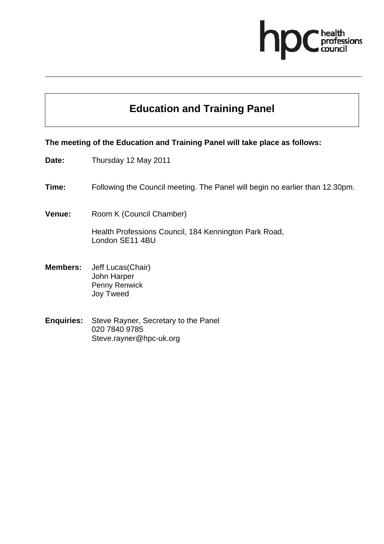# essions

# **Education and Training Panel**

#### **The meeting of the Education and Training Panel will take place as follows:**

- **Date:** Thursday 12 May 2011
- **Time:** Following the Council meeting. The Panel will begin no earlier than 12.30pm.
- **Venue:** Room K (Council Chamber)

Health Professions Council, 184 Kennington Park Road, London SE11 4BU

- **Members:** Jeff Lucas(Chair) John Harper Penny Renwick Joy Tweed
- **Enquiries:** Steve Rayner, Secretary to the Panel 020 7840 9785 Steve.rayner@hpc-uk.org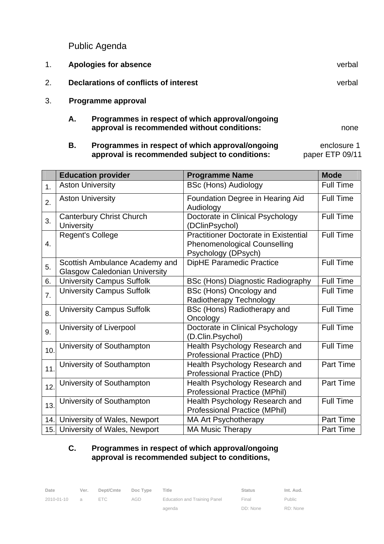Public Agenda

- 1. **Apologies for absence** verbal 2. **Declarations of conflicts of interest** verbal 3. **Programme approval A. Programmes in respect of which approval/ongoing approval is recommended without conditions:** 
	- **B.** Programmes in respect of which approval/ongoing enclosure 1 **approval is recommended subject to conditions:** paper ETP 09/11

|     | <b>Education provider</b>                                              | <b>Programme Name</b>                                                                                      | <b>Mode</b>      |
|-----|------------------------------------------------------------------------|------------------------------------------------------------------------------------------------------------|------------------|
| 1.  | <b>Aston University</b>                                                | <b>BSc (Hons) Audiology</b>                                                                                | <b>Full Time</b> |
| 2.  | <b>Aston University</b>                                                | Foundation Degree in Hearing Aid<br>Audiology                                                              | <b>Full Time</b> |
| 3.  | <b>Canterbury Christ Church</b><br><b>University</b>                   | Doctorate in Clinical Psychology<br>(DClinPsychol)                                                         | <b>Full Time</b> |
| 4.  | <b>Regent's College</b>                                                | <b>Practitioner Doctorate in Existential</b><br><b>Phenomenological Counselling</b><br>Psychology (DPsych) | <b>Full Time</b> |
| 5.  | Scottish Ambulance Academy and<br><b>Glasgow Caledonian University</b> | <b>DipHE Paramedic Practice</b>                                                                            | <b>Full Time</b> |
| 6.  | <b>University Campus Suffolk</b>                                       | <b>BSc (Hons) Diagnostic Radiography</b>                                                                   | <b>Full Time</b> |
| 7.  | <b>University Campus Suffolk</b>                                       | BSc (Hons) Oncology and<br>Radiotherapy Technology                                                         | <b>Full Time</b> |
| 8.  | <b>University Campus Suffolk</b>                                       | BSc (Hons) Radiotherapy and<br>Oncology                                                                    | <b>Full Time</b> |
| 9.  | University of Liverpool                                                | Doctorate in Clinical Psychology<br>(D.Clin.Psychol)                                                       | <b>Full Time</b> |
| 10. | University of Southampton                                              | Health Psychology Research and<br>Professional Practice (PhD)                                              | <b>Full Time</b> |
| 11  | University of Southampton                                              | Health Psychology Research and<br>Professional Practice (PhD)                                              | <b>Part Time</b> |
| 12. | University of Southampton                                              | Health Psychology Research and<br><b>Professional Practice (MPhil)</b>                                     | <b>Part Time</b> |
| 13. | University of Southampton                                              | Health Psychology Research and<br><b>Professional Practice (MPhil)</b>                                     | <b>Full Time</b> |
| 14. | University of Wales, Newport                                           | <b>MA Art Psychotherapy</b>                                                                                | <b>Part Time</b> |
|     | 15. University of Wales, Newport                                       | <b>MA Music Therapy</b>                                                                                    | <b>Part Time</b> |

#### **C. Programmes in respect of which approval/ongoing approval is recommended subject to conditions,**

| Date       | Ver.           | Dept/Cmte | Doc Type | Title                        | <b>Status</b> | Int. Aud.     |
|------------|----------------|-----------|----------|------------------------------|---------------|---------------|
| 2010-01-10 | $\overline{a}$ | FTC.      | AGD      | Education and Training Panel | Final         | <b>Public</b> |
|            |                |           |          | agenda                       | DD: None      | RD: None      |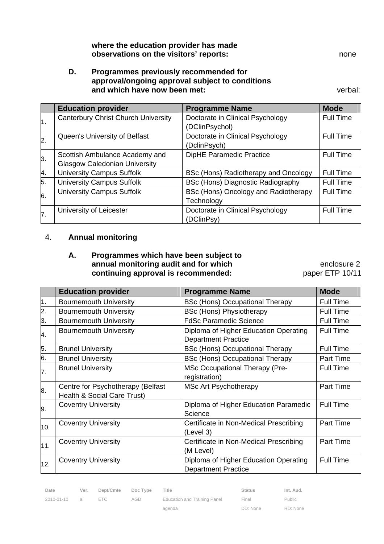#### **where the education provider has made observations on the visitors' reports:** none

#### **D. Programmes previously recommended for approval/ongoing approval subject to conditions and which have now been met: verbal:** verbal:

|    | <b>Education provider</b>                  | <b>Programme Name</b>                | <b>Mode</b>      |
|----|--------------------------------------------|--------------------------------------|------------------|
| 1. | <b>Canterbury Christ Church University</b> | Doctorate in Clinical Psychology     | Full Time        |
|    |                                            | (DClinPsychol)                       |                  |
| 2. | Queen's University of Belfast              | Doctorate in Clinical Psychology     | Full Time        |
|    |                                            | (DclinPsych)                         |                  |
| 3. | Scottish Ambulance Academy and             | <b>DipHE Paramedic Practice</b>      | <b>Full Time</b> |
|    | <b>Glasgow Caledonian University</b>       |                                      |                  |
| 4. | <b>University Campus Suffolk</b>           | BSc (Hons) Radiotherapy and Oncology | <b>Full Time</b> |
| 5. | <b>University Campus Suffolk</b>           | BSc (Hons) Diagnostic Radiography    | <b>Full Time</b> |
| 6. | <b>University Campus Suffolk</b>           | BSc (Hons) Oncology and Radiotherapy | Full Time        |
|    |                                            | Technology                           |                  |
| 7. | University of Leicester                    | Doctorate in Clinical Psychology     | <b>Full Time</b> |
|    |                                            | (DClinPsy)                           |                  |

#### 4. **Annual monitoring**

#### **A. Programmes which have been subject to annual monitoring audit and for which <b>Example 2** enclosure 2 continuing approval is recommended: paper ETP 10/11

|     | <b>Education provider</b>                                        | <b>Programme Name</b>                                               | <b>Mode</b>      |
|-----|------------------------------------------------------------------|---------------------------------------------------------------------|------------------|
| 1.  | <b>Bournemouth University</b>                                    | <b>BSc (Hons) Occupational Therapy</b>                              | <b>Full Time</b> |
| 2.  | <b>Bournemouth University</b>                                    | <b>BSc (Hons) Physiotherapy</b>                                     | <b>Full Time</b> |
| 3.  | <b>Bournemouth University</b>                                    | <b>FdSc Paramedic Science</b>                                       | <b>Full Time</b> |
| 4.  | <b>Bournemouth University</b>                                    | Diploma of Higher Education Operating<br><b>Department Practice</b> | <b>Full Time</b> |
| 5.  | <b>Brunel University</b>                                         | <b>BSc (Hons) Occupational Therapy</b>                              | Full Time        |
| 6.  | <b>Brunel University</b>                                         | <b>BSc (Hons) Occupational Therapy</b>                              | Part Time        |
| 7.  | <b>Brunel University</b>                                         | <b>MSc Occupational Therapy (Pre-</b><br>registration)              | <b>Full Time</b> |
| 8.  | Centre for Psychotherapy (Belfast<br>Health & Social Care Trust) | <b>MSc Art Psychotherapy</b>                                        | <b>Part Time</b> |
| 9.  | <b>Coventry University</b>                                       | Diploma of Higher Education Paramedic<br>Science                    | <b>Full Time</b> |
| 10. | <b>Coventry University</b>                                       | Certificate in Non-Medical Prescribing<br>(Level 3)                 | Part Time        |
| 11. | <b>Coventry University</b>                                       | Certificate in Non-Medical Prescribing<br>(M Level)                 | Part Time        |
| 12. | <b>Coventry University</b>                                       | Diploma of Higher Education Operating<br><b>Department Practice</b> | <b>Full Time</b> |

Date Ver. Dept/Cmte Doc Type Title **Status** Status Int. Aud.

2010-01-10 a ETC AGD Education and Training Panel agenda

Final DD: None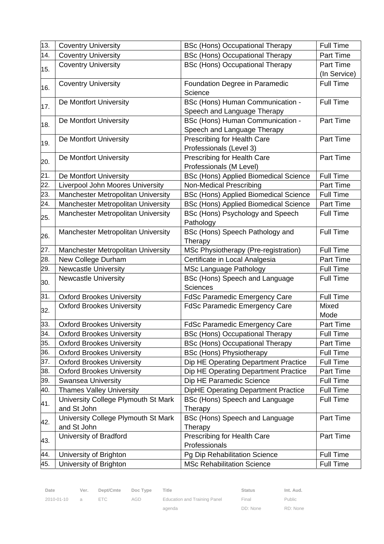| 13. | <b>Coventry University</b>          | <b>BSc (Hons) Occupational Therapy</b>       | <b>Full Time</b> |
|-----|-------------------------------------|----------------------------------------------|------------------|
| 14. | <b>Coventry University</b>          | <b>BSc (Hons) Occupational Therapy</b>       | Part Time        |
|     | <b>Coventry University</b>          | <b>BSc (Hons) Occupational Therapy</b>       | Part Time        |
| 15. |                                     |                                              | (In Service)     |
|     | <b>Coventry University</b>          | Foundation Degree in Paramedic               | <b>Full Time</b> |
| 16. |                                     | Science                                      |                  |
| 17. | De Montfort University              | BSc (Hons) Human Communication -             | <b>Full Time</b> |
|     |                                     | Speech and Language Therapy                  |                  |
| 18. | De Montfort University              | BSc (Hons) Human Communication -             | Part Time        |
|     |                                     | Speech and Language Therapy                  |                  |
| 19. | De Montfort University              | Prescribing for Health Care                  | Part Time        |
|     |                                     | Professionals (Level 3)                      |                  |
| 20. | De Montfort University              | Prescribing for Health Care                  | Part Time        |
|     |                                     | Professionals (M Level)                      |                  |
| 21. | De Montfort University              | <b>BSc (Hons) Applied Biomedical Science</b> | <b>Full Time</b> |
| 22. | Liverpool John Moores University    | <b>Non-Medical Prescribing</b>               | Part Time        |
| 23. | Manchester Metropolitan University  | <b>BSc (Hons) Applied Biomedical Science</b> | <b>Full Time</b> |
| 24. | Manchester Metropolitan University  | <b>BSc (Hons) Applied Biomedical Science</b> | Part Time        |
| 25. | Manchester Metropolitan University  | BSc (Hons) Psychology and Speech             | <b>Full Time</b> |
|     |                                     | Pathology                                    |                  |
| 26. | Manchester Metropolitan University  | BSc (Hons) Speech Pathology and              | <b>Full Time</b> |
|     |                                     | Therapy                                      |                  |
| 27. | Manchester Metropolitan University  | MSc Physiotherapy (Pre-registration)         | <b>Full Time</b> |
| 28. | New College Durham                  | Certificate in Local Analgesia               | Part Time        |
| 29. | <b>Newcastle University</b>         | <b>MSc Language Pathology</b>                | <b>Full Time</b> |
| 30. | <b>Newcastle University</b>         | BSc (Hons) Speech and Language               | <b>Full Time</b> |
|     |                                     | <b>Sciences</b>                              |                  |
| 31. | <b>Oxford Brookes University</b>    | <b>FdSc Paramedic Emergency Care</b>         | <b>Full Time</b> |
| 32. | <b>Oxford Brookes University</b>    | <b>FdSc Paramedic Emergency Care</b>         | Mixed            |
|     |                                     |                                              | Mode             |
| 33. | <b>Oxford Brookes University</b>    | <b>FdSc Paramedic Emergency Care</b>         | Part Time        |
| 34. | <b>Oxford Brookes University</b>    | <b>BSc (Hons) Occupational Therapy</b>       | <b>Full Time</b> |
| 35. | <b>Oxford Brookes University</b>    | <b>BSc (Hons) Occupational Therapy</b>       | Part Time        |
| 36. | <b>Oxford Brookes University</b>    | <b>BSc (Hons) Physiotherapy</b>              | <b>Full Time</b> |
| 37. | <b>Oxford Brookes University</b>    | Dip HE Operating Department Practice         | <b>Full Time</b> |
| 38. | <b>Oxford Brookes University</b>    | Dip HE Operating Department Practice         | Part Time        |
| 39. | <b>Swansea University</b>           | Dip HE Paramedic Science                     | Full Time        |
| 40. | <b>Thames Valley University</b>     | DipHE Operating Department Practice          | <b>Full Time</b> |
| 41. | University College Plymouth St Mark | BSc (Hons) Speech and Language               | <b>Full Time</b> |
|     | and St John                         | Therapy                                      |                  |
| 42. | University College Plymouth St Mark | BSc (Hons) Speech and Language               | Part Time        |
|     | and St John                         | Therapy                                      |                  |
| 43. | University of Bradford              | Prescribing for Health Care                  | Part Time        |
|     |                                     | Professionals                                |                  |
| 44. | University of Brighton              | Pg Dip Rehabilitation Science                | <b>Full Time</b> |
| 45. | University of Brighton              | <b>MSc Rehabilitation Science</b>            | Full Time        |

agenda

Final DD: None Public

RD: None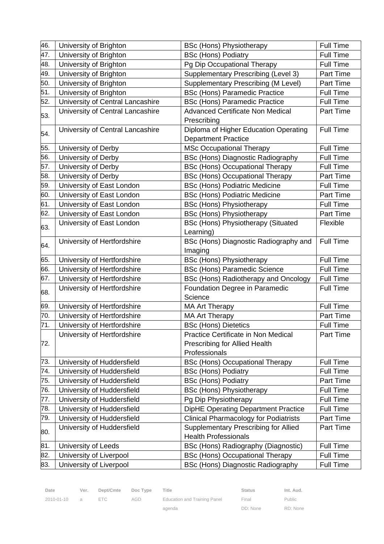| 46. | University of Brighton           | <b>BSc (Hons) Physiotherapy</b>                                                       | <b>Full Time</b> |
|-----|----------------------------------|---------------------------------------------------------------------------------------|------------------|
| 47. | University of Brighton           | <b>BSc (Hons) Podiatry</b>                                                            | Full Time        |
| 48. | University of Brighton           | Pg Dip Occupational Therapy                                                           | <b>Full Time</b> |
| 49. | University of Brighton           | Supplementary Prescribing (Level 3)                                                   | Part Time        |
| 50. | University of Brighton           | <b>Supplementary Prescribing (M Level)</b>                                            | Part Time        |
| 51. | University of Brighton           | <b>BSc (Hons) Paramedic Practice</b>                                                  | <b>Full Time</b> |
| 52. | University of Central Lancashire | <b>BSc (Hons) Paramedic Practice</b>                                                  | Full Time        |
| 53. | University of Central Lancashire | <b>Advanced Certificate Non Medical</b><br>Prescribing                                | Part Time        |
| 54. | University of Central Lancashire | Diploma of Higher Education Operating<br><b>Department Practice</b>                   | <b>Full Time</b> |
| 55. | University of Derby              | <b>MSc Occupational Therapy</b>                                                       | <b>Full Time</b> |
| 56. | University of Derby              | BSc (Hons) Diagnostic Radiography                                                     | <b>Full Time</b> |
| 57. | University of Derby              | <b>BSc (Hons) Occupational Therapy</b>                                                | <b>Full Time</b> |
| 58. | University of Derby              | <b>BSc (Hons) Occupational Therapy</b>                                                | Part Time        |
| 59. | University of East London        | <b>BSc (Hons) Podiatric Medicine</b>                                                  | <b>Full Time</b> |
| 60. | University of East London        | <b>BSc (Hons) Podiatric Medicine</b>                                                  | Part Time        |
| 61. | University of East London        | <b>BSc (Hons) Physiotherapy</b>                                                       | <b>Full Time</b> |
| 62. | University of East London        | <b>BSc (Hons) Physiotherapy</b>                                                       | Part Time        |
| 63. | University of East London        | <b>BSc (Hons) Physiotherapy (Situated</b><br>Learning)                                | Flexible         |
| 64. | University of Hertfordshire      | BSc (Hons) Diagnostic Radiography and<br>Imaging                                      | <b>Full Time</b> |
| 65. | University of Hertfordshire      | <b>BSc (Hons) Physiotherapy</b>                                                       | <b>Full Time</b> |
| 66. | University of Hertfordshire      | <b>BSc (Hons) Paramedic Science</b>                                                   | <b>Full Time</b> |
| 67. | University of Hertfordshire      | BSc (Hons) Radiotherapy and Oncology                                                  | <b>Full Time</b> |
|     | University of Hertfordshire      | Foundation Degree in Paramedic                                                        | <b>Full Time</b> |
| 68. |                                  | Science                                                                               |                  |
| 69. | University of Hertfordshire      | <b>MA Art Therapy</b>                                                                 | Full Time        |
| 70. | University of Hertfordshire      | <b>MA Art Therapy</b>                                                                 | Part Time        |
| 71. | University of Hertfordshire      | <b>BSc (Hons) Dietetics</b>                                                           | <b>Full Time</b> |
| 72. | University of Hertfordshire      | Practice Certificate in Non Medical<br>Prescribing for Allied Health<br>Professionals | Part Time        |
| 73. | University of Huddersfield       | <b>BSc (Hons) Occupational Therapy</b>                                                | <b>Full Time</b> |
| 74. | University of Huddersfield       | <b>BSc (Hons) Podiatry</b>                                                            | <b>Full Time</b> |
| 75. | University of Huddersfield       | <b>BSc (Hons) Podiatry</b>                                                            | Part Time        |
| 76. | University of Huddersfield       | <b>BSc (Hons) Physiotherapy</b>                                                       | <b>Full Time</b> |
| 77. | University of Huddersfield       | Pg Dip Physiotherapy                                                                  | <b>Full Time</b> |
| 78. | University of Huddersfield       | <b>DipHE Operating Department Practice</b>                                            | <b>Full Time</b> |
| 79. | University of Huddersfield       | <b>Clinical Pharmacology for Podiatrists</b>                                          | Part Time        |
| 80. | University of Huddersfield       | <b>Supplementary Prescribing for Allied</b><br><b>Health Professionals</b>            | Part Time        |
| 81. | University of Leeds              | BSc (Hons) Radiography (Diagnostic)                                                   | <b>Full Time</b> |
| 82. |                                  |                                                                                       |                  |
|     | University of Liverpool          | <b>BSc (Hons) Occupational Therapy</b>                                                | <b>Full Time</b> |

| Date               | Ver. Dept/Cmte Doc Type Title |     |                                    | <b>Status</b> | Int. Aud. |
|--------------------|-------------------------------|-----|------------------------------------|---------------|-----------|
| $2010 - 01 - 10$ a | ETC                           | AGD | Education and Training Panel Final |               | Public    |

2010-01-10 a ETC AGD Education and Training Panel agenda

Final DD: None Public

RD: None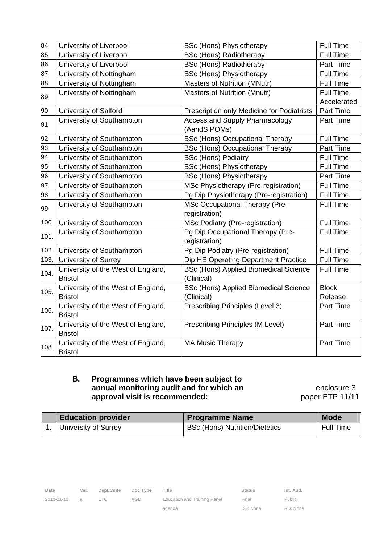| 84.  | University of Liverpool                              | <b>BSc (Hons) Physiotherapy</b>                            | Full Time               |
|------|------------------------------------------------------|------------------------------------------------------------|-------------------------|
| 85.  | University of Liverpool                              | <b>BSc (Hons) Radiotherapy</b>                             | <b>Full Time</b>        |
| 86.  | University of Liverpool                              | <b>BSc (Hons) Radiotherapy</b>                             | Part Time               |
| 87.  | University of Nottingham                             | <b>BSc (Hons) Physiotherapy</b>                            | Full Time               |
| 88.  | University of Nottingham                             | Masters of Nutrition (MNutr)                               | <b>Full Time</b>        |
| 89.  | University of Nottingham                             | Masters of Nutrition (Mnutr)                               | Full Time               |
|      |                                                      |                                                            | Accelerated             |
| 90.  | University of Salford                                | Prescription only Medicine for Podiatrists                 | Part Time               |
| 91.  | University of Southampton                            | Access and Supply Pharmacology<br>(AandS POMs)             | Part Time               |
| 92.  | University of Southampton                            | <b>BSc (Hons) Occupational Therapy</b>                     | Full Time               |
| 93.  | University of Southampton                            | <b>BSc (Hons) Occupational Therapy</b>                     | Part Time               |
| 94.  | University of Southampton                            | <b>BSc (Hons) Podiatry</b>                                 | Full Time               |
| 95.  | University of Southampton                            | <b>BSc (Hons) Physiotherapy</b>                            | <b>Full Time</b>        |
| 96.  | University of Southampton                            | <b>BSc (Hons) Physiotherapy</b>                            | Part Time               |
| 97.  | University of Southampton                            | MSc Physiotherapy (Pre-registration)                       | <b>Full Time</b>        |
| 98.  | University of Southampton                            | Pg Dip Physiotherapy (Pre-registration)                    | <b>Full Time</b>        |
| 99.  | University of Southampton                            | MSc Occupational Therapy (Pre-<br>registration)            | <b>Full Time</b>        |
| 100. | University of Southampton                            | <b>MSc Podiatry (Pre-registration)</b>                     | <b>Full Time</b>        |
| 101. | University of Southampton                            | Pg Dip Occupational Therapy (Pre-<br>registration)         | <b>Full Time</b>        |
| 102. | University of Southampton                            | Pg Dip Podiatry (Pre-registration)                         | <b>Full Time</b>        |
| 103. | University of Surrey                                 | Dip HE Operating Department Practice                       | <b>Full Time</b>        |
| 104. | University of the West of England,<br><b>Bristol</b> | <b>BSc (Hons) Applied Biomedical Science</b><br>(Clinical) | <b>Full Time</b>        |
| 105. | University of the West of England,<br><b>Bristol</b> | <b>BSc (Hons) Applied Biomedical Science</b><br>(Clinical) | <b>Block</b><br>Release |
| 106. | University of the West of England,<br><b>Bristol</b> | Prescribing Principles (Level 3)                           | Part Time               |
| 107. | University of the West of England,<br><b>Bristol</b> | Prescribing Principles (M Level)                           | Part Time               |
| 108. | University of the West of England,<br><b>Bristol</b> | <b>MA Music Therapy</b>                                    | Part Time               |

#### **B. Programmes which have been subject to annual monitoring audit and for which an** *enclosure* **3** approval visit is recommended: paper ETP 11/11

| <b>Education provider</b> | <b>Programme Name</b>                       | <b>Mode</b>      |  |
|---------------------------|---------------------------------------------|------------------|--|
| 1. University of Surrey   | <sup>1</sup> BSc (Hons) Nutrition/Dietetics | <b>Full Time</b> |  |

| Date         | Ver. | Dept/Cmte | Doc Type | Title                        | <b>Status</b> | Int. Aud. |
|--------------|------|-----------|----------|------------------------------|---------------|-----------|
| 2010-01-10 a |      | ETC       | AGD      | Education and Training Panel | Final         | Public    |
|              |      |           |          | agenda                       | DD: None      | RD: None  |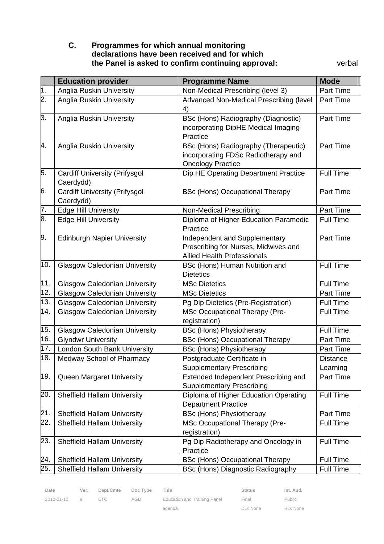#### **C. Programmes for which annual monitoring declarations have been received and for which the Panel is asked to confirm continuing approval:** verbal

|     | <b>Education provider</b>            | <b>Programme Name</b>                                                      | <b>Mode</b>      |
|-----|--------------------------------------|----------------------------------------------------------------------------|------------------|
| 1.  | <b>Anglia Ruskin University</b>      | Non-Medical Prescribing (level 3)                                          | Part Time        |
| 2.  | <b>Anglia Ruskin University</b>      | Advanced Non-Medical Prescribing (level                                    | Part Time        |
|     |                                      | 4)                                                                         |                  |
| β.  | <b>Anglia Ruskin University</b>      | BSc (Hons) Radiography (Diagnostic)                                        | Part Time        |
|     |                                      | incorporating DipHE Medical Imaging                                        |                  |
|     |                                      | Practice                                                                   |                  |
| 4.  | <b>Anglia Ruskin University</b>      | BSc (Hons) Radiography (Therapeutic)                                       | Part Time        |
|     |                                      | incorporating FDSc Radiotherapy and                                        |                  |
|     |                                      | <b>Oncology Practice</b>                                                   |                  |
| 5.  | <b>Cardiff University (Prifysgol</b> | Dip HE Operating Department Practice                                       | <b>Full Time</b> |
|     | Caerdydd)                            |                                                                            |                  |
| 6.  | <b>Cardiff University (Prifysgol</b> | <b>BSc (Hons) Occupational Therapy</b>                                     | Part Time        |
|     | Caerdydd)                            |                                                                            |                  |
| 7.  | <b>Edge Hill University</b>          | <b>Non-Medical Prescribing</b>                                             | Part Time        |
| 8.  | <b>Edge Hill University</b>          | Diploma of Higher Education Paramedic                                      | <b>Full Time</b> |
|     |                                      | Practice                                                                   |                  |
| 9.  | <b>Edinburgh Napier University</b>   | Independent and Supplementary                                              | Part Time        |
|     |                                      | Prescribing for Nurses, Midwives and<br><b>Allied Health Professionals</b> |                  |
| 10. | <b>Glasgow Caledonian University</b> |                                                                            | <b>Full Time</b> |
|     |                                      | BSc (Hons) Human Nutrition and<br><b>Dietetics</b>                         |                  |
| 11. | <b>Glasgow Caledonian University</b> | <b>MSc Dietetics</b>                                                       | <b>Full Time</b> |
| 12. | <b>Glasgow Caledonian University</b> | <b>MSc Dietetics</b>                                                       | Part Time        |
| 13. | <b>Glasgow Caledonian University</b> | Pg Dip Dietetics (Pre-Registration)                                        | <b>Full Time</b> |
| 14. | <b>Glasgow Caledonian University</b> | <b>MSc Occupational Therapy (Pre-</b>                                      | <b>Full Time</b> |
|     |                                      | registration)                                                              |                  |
| 15. | <b>Glasgow Caledonian University</b> | <b>BSc (Hons) Physiotherapy</b>                                            | <b>Full Time</b> |
| 16. | <b>Glyndwr University</b>            | <b>BSc (Hons) Occupational Therapy</b>                                     | Part Time        |
| 17. | <b>London South Bank University</b>  | <b>BSc (Hons) Physiotherapy</b>                                            | Part Time        |
| 18. | Medway School of Pharmacy            | Postgraduate Certificate in                                                | <b>Distance</b>  |
|     |                                      | <b>Supplementary Prescribing</b>                                           | Learning         |
| 19. | Queen Margaret University            | Extended Independent Prescribing and                                       | Part Time        |
|     |                                      | <b>Supplementary Prescribing</b>                                           |                  |
| 20. | <b>Sheffield Hallam University</b>   | Diploma of Higher Education Operating                                      | <b>Full Time</b> |
|     |                                      | <b>Department Practice</b>                                                 |                  |
| 21. | <b>Sheffield Hallam University</b>   | <b>BSc (Hons) Physiotherapy</b>                                            | Part Time        |
| 22. | <b>Sheffield Hallam University</b>   | <b>MSc Occupational Therapy (Pre-</b>                                      | <b>Full Time</b> |
|     |                                      | registration)                                                              |                  |
| 23. | <b>Sheffield Hallam University</b>   | Pg Dip Radiotherapy and Oncology in                                        | <b>Full Time</b> |
|     |                                      | Practice                                                                   |                  |
| 24. | <b>Sheffield Hallam University</b>   | <b>BSc (Hons) Occupational Therapy</b>                                     | <b>Full Time</b> |
| 25. | <b>Sheffield Hallam University</b>   | BSc (Hons) Diagnostic Radiography                                          | Full Time        |

agenda

Final

Public

RD: None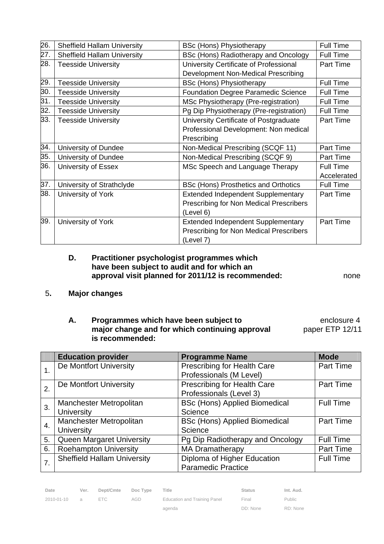| 26. | <b>Sheffield Hallam University</b> | <b>BSc (Hons) Physiotherapy</b>            | Full Time        |
|-----|------------------------------------|--------------------------------------------|------------------|
| 27. | <b>Sheffield Hallam University</b> | BSc (Hons) Radiotherapy and Oncology       | <b>Full Time</b> |
| 28. | <b>Teesside University</b>         | University Certificate of Professional     | Part Time        |
|     |                                    | Development Non-Medical Prescribing        |                  |
| 29. | <b>Teesside University</b>         | <b>BSc (Hons) Physiotherapy</b>            | <b>Full Time</b> |
| 30. | <b>Teesside University</b>         | <b>Foundation Degree Paramedic Science</b> | <b>Full Time</b> |
| 31. | <b>Teesside University</b>         | MSc Physiotherapy (Pre-registration)       | <b>Full Time</b> |
| 32. | <b>Teesside University</b>         | Pg Dip Physiotherapy (Pre-registration)    | <b>Full Time</b> |
| 33. | <b>Teesside University</b>         | University Certificate of Postgraduate     | Part Time        |
|     |                                    | Professional Development: Non medical      |                  |
|     |                                    | Prescribing                                |                  |
| 34. | University of Dundee               | Non-Medical Prescribing (SCQF 11)          | Part Time        |
| 35. | University of Dundee               | Non-Medical Prescribing (SCQF 9)           | Part Time        |
| 36. | University of Essex                | MSc Speech and Language Therapy            | Full Time        |
|     |                                    |                                            | Accelerated      |
| 37. | University of Strathclyde          | BSc (Hons) Prosthetics and Orthotics       | <b>Full Time</b> |
| 38. | University of York                 | <b>Extended Independent Supplementary</b>  | Part Time        |
|     |                                    | Prescribing for Non Medical Prescribers    |                  |
|     |                                    | (Level 6)                                  |                  |
| 39. | University of York                 | <b>Extended Independent Supplementary</b>  | Part Time        |
|     |                                    | Prescribing for Non Medical Prescribers    |                  |
|     |                                    | (Level 7)                                  |                  |

#### **D. Practitioner psychologist programmes which have been subject to audit and for which an approval visit planned for 2011/12 is recommended:** none

- 5**. Major changes** 
	- **A.** Programmes which have been subject to **EXACCO EXACCOM** enclosure 4 **major change and for which continuing approval https://doi.org/2012/11 is recommended:**

|    | <b>Education provider</b>          | <b>Programme Name</b>                | <b>Mode</b>      |
|----|------------------------------------|--------------------------------------|------------------|
|    | De Montfort University             | Prescribing for Health Care          | <b>Part Time</b> |
|    |                                    | Professionals (M Level)              |                  |
| 2. | De Montfort University             | Prescribing for Health Care          | <b>Part Time</b> |
|    |                                    | Professionals (Level 3)              |                  |
| 3. | Manchester Metropolitan            | <b>BSc (Hons) Applied Biomedical</b> | <b>Full Time</b> |
|    | <b>University</b>                  | Science                              |                  |
| 4. | Manchester Metropolitan            | <b>BSc (Hons) Applied Biomedical</b> | Part Time        |
|    | <b>University</b>                  | Science                              |                  |
| 5. | <b>Queen Margaret University</b>   | Pg Dip Radiotherapy and Oncology     | <b>Full Time</b> |
| 6. | <b>Roehampton University</b>       | <b>MA Dramatherapy</b>               | Part Time        |
|    | <b>Sheffield Hallam University</b> | Diploma of Higher Education          | <b>Full Time</b> |
|    |                                    | <b>Paramedic Practice</b>            |                  |

| Date         | Ver. | Dept/Cmte Doc Type |     | Title                        | <b>Status</b> | Int. Aud.     |
|--------------|------|--------------------|-----|------------------------------|---------------|---------------|
| 2010-01-10 a |      | FTC.               | AGD | Education and Training Panel | Final         | <b>Public</b> |
|              |      |                    |     | agenda                       | DD: None      | RD: None      |